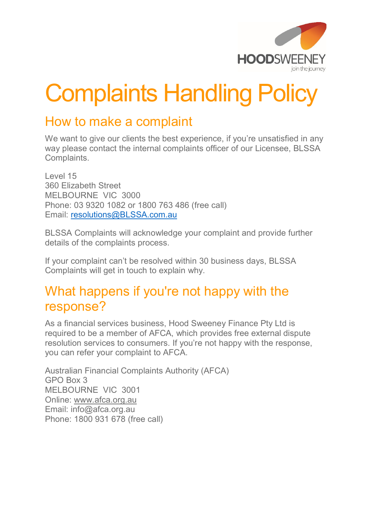

## Complaints Handling Policy

## How to make a complaint

We want to give our clients the best experience, if you're unsatisfied in any way please contact the internal complaints officer of our Licensee, BLSSA Complaints.

Level 15 360 Elizabeth Street MELBOURNE VIC 3000 Phone: 03 9320 1082 or 1800 763 486 (free call) Email: [resolutions@BLSSA.com.au](mailto:resolutions@BLSSA.com.au)

BLSSA Complaints will acknowledge your complaint and provide further details of the complaints process.

If your complaint can't be resolved within 30 business days, BLSSA Complaints will get in touch to explain why.

## What happens if you're not happy with the response?

As a financial services business, Hood Sweeney Finance Pty Ltd is required to be a member of AFCA, which provides free external dispute resolution services to consumers. If you're not happy with the response, you can refer your complaint to AFCA.

Australian Financial Complaints Authority (AFCA) GPO Box 3 MELBOURNE VIC 3001 Online: www.afca.org.au Email: info@afca.org.au Phone: 1800 931 678 (free call)